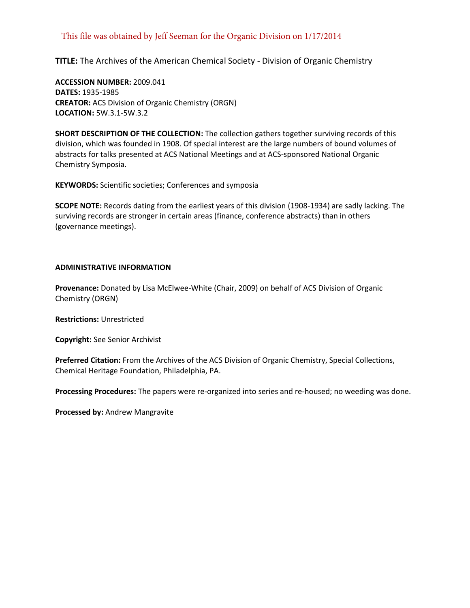# This file was obtained by Jeff Seeman for the Organic Division on 1/17/2014

**TITLE:** The Archives of the American Chemical Society - Division of Organic Chemistry

**ACCESSION NUMBER:** 2009.041 **DATES:** 1935-1985 **CREATOR:** ACS Division of Organic Chemistry (ORGN) **LOCATION:** 5W.3.1-5W.3.2

**SHORT DESCRIPTION OF THE COLLECTION:** The collection gathers together surviving records of this division, which was founded in 1908. Of special interest are the large numbers of bound volumes of abstracts for talks presented at ACS National Meetings and at ACS-sponsored National Organic Chemistry Symposia.

**KEYWORDS:** Scientific societies; Conferences and symposia

**SCOPE NOTE:** Records dating from the earliest years of this division (1908-1934) are sadly lacking. The surviving records are stronger in certain areas (finance, conference abstracts) than in others (governance meetings).

#### **ADMINISTRATIVE INFORMATION**

**Provenance:** Donated by Lisa McElwee-White (Chair, 2009) on behalf of ACS Division of Organic Chemistry (ORGN)

**Restrictions:** Unrestricted

**Copyright:** See Senior Archivist

**Preferred Citation:** From the Archives of the ACS Division of Organic Chemistry, Special Collections, Chemical Heritage Foundation, Philadelphia, PA.

**Processing Procedures:** The papers were re-organized into series and re-housed; no weeding was done.

**Processed by:** Andrew Mangravite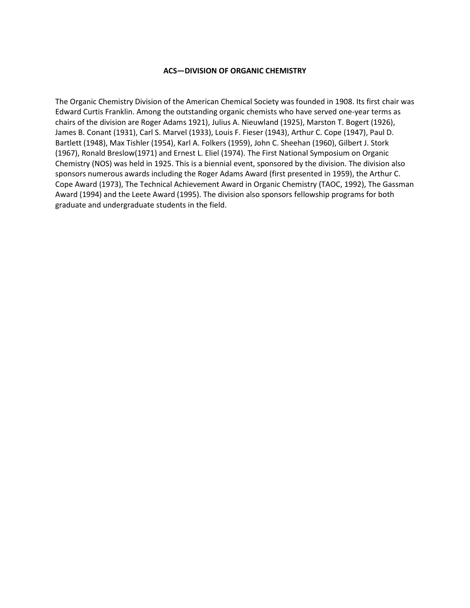#### **ACS—DIVISION OF ORGANIC CHEMISTRY**

The Organic Chemistry Division of the American Chemical Society was founded in 1908. Its first chair was Edward Curtis Franklin. Among the outstanding organic chemists who have served one-year terms as chairs of the division are Roger Adams 1921), Julius A. Nieuwland (1925), Marston T. Bogert (1926), James B. Conant (1931), Carl S. Marvel (1933), Louis F. Fieser (1943), Arthur C. Cope (1947), Paul D. Bartlett (1948), Max Tishler (1954), Karl A. Folkers (1959), John C. Sheehan (1960), Gilbert J. Stork (1967), Ronald Breslow(1971) and Ernest L. Eliel (1974). The First National Symposium on Organic Chemistry (NOS) was held in 1925. This is a biennial event, sponsored by the division. The division also sponsors numerous awards including the Roger Adams Award (first presented in 1959), the Arthur C. Cope Award (1973), The Technical Achievement Award in Organic Chemistry (TAOC, 1992), The Gassman Award (1994) and the Leete Award (1995). The division also sponsors fellowship programs for both graduate and undergraduate students in the field.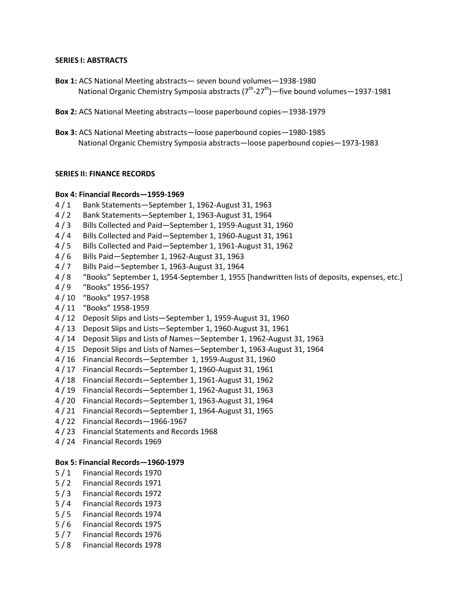#### **SERIES I: ABSTRACTS**

- **Box 1:** ACS National Meeting abstracts— seven bound volumes—1938-1980 National Organic Chemistry Symposia abstracts  $(7^{th}$ -27<sup>th</sup>) - five bound volumes - 1937-1981
- **Box 2:** ACS National Meeting abstracts—loose paperbound copies—1938-1979
- **Box 3:** ACS National Meeting abstracts—loose paperbound copies—1980-1985 National Organic Chemistry Symposia abstracts—loose paperbound copies—1973-1983

## **SERIES II: FINANCE RECORDS**

#### **Box 4: Financial Records—1959-1969**

- 4 / 1 Bank Statements—September 1, 1962-August 31, 1963
- 4 / 2 Bank Statements—September 1, 1963-August 31, 1964
- 4 / 3 Bills Collected and Paid—September 1, 1959-August 31, 1960
- 4 / 4 Bills Collected and Paid—September 1, 1960-August 31, 1961
- 4 / 5 Bills Collected and Paid—September 1, 1961-August 31, 1962
- 4 / 6 Bills Paid—September 1, 1962-August 31, 1963
- 4 / 7 Bills Paid—September 1, 1963-August 31, 1964
- 4 / 8 "Books" September 1, 1954-September 1, 1955 [handwritten lists of deposits, expenses, etc.]
- 4 / 9 "Books" 1956-1957
- 4 / 10 "Books" 1957-1958
- 4 / 11 "Books" 1958-1959
- 4 / 12 Deposit Slips and Lists—September 1, 1959-August 31, 1960
- 4 / 13 Deposit Slips and Lists—September 1, 1960-August 31, 1961
- 4 / 14 Deposit Slips and Lists of Names—September 1, 1962-August 31, 1963
- 4 / 15 Deposit Slips and Lists of Names—September 1, 1963-August 31, 1964
- 4 / 16 Financial Records—September 1, 1959-August 31, 1960
- 4 / 17 Financial Records—September 1, 1960-August 31, 1961
- 4 / 18 Financial Records—September 1, 1961-August 31, 1962
- 4 / 19 Financial Records—September 1, 1962-August 31, 1963
- 4 / 20 Financial Records—September 1, 1963-August 31, 1964
- 4 / 21 Financial Records—September 1, 1964-August 31, 1965
- 4 / 22 Financial Records—1966-1967
- 4 / 23 Financial Statements and Records 1968
- 4 / 24 Financial Records 1969

#### **Box 5: Financial Records—1960-1979**

- 5 / 1 Financial Records 1970
- 5 / 2 Financial Records 1971
- 5 / 3 Financial Records 1972
- 5 / 4 Financial Records 1973
- 5 / 5 Financial Records 1974
- 5 / 6 Financial Records 1975
- 5 / 7 Financial Records 1976
- 5 / 8 Financial Records 1978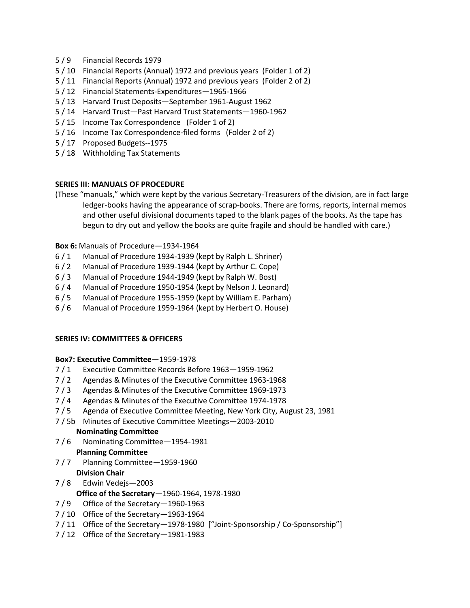- 5 / 9 Financial Records 1979
- 5 / 10 Financial Reports (Annual) 1972 and previous years (Folder 1 of 2)
- 5 / 11 Financial Reports (Annual) 1972 and previous years (Folder 2 of 2)
- 5 / 12 Financial Statements-Expenditures—1965-1966
- 5 / 13 Harvard Trust Deposits—September 1961-August 1962
- 5 / 14 Harvard Trust—Past Harvard Trust Statements—1960-1962
- 5 / 15 Income Tax Correspondence (Folder 1 of 2)
- 5 / 16 Income Tax Correspondence-filed forms (Folder 2 of 2)
- 5 / 17 Proposed Budgets--1975
- 5 / 18 Withholding Tax Statements

## **SERIES III: MANUALS OF PROCEDURE**

(These "manuals," which were kept by the various Secretary-Treasurers of the division, are in fact large ledger-books having the appearance of scrap-books. There are forms, reports, internal memos and other useful divisional documents taped to the blank pages of the books. As the tape has begun to dry out and yellow the books are quite fragile and should be handled with care.)

#### **Box 6:** Manuals of Procedure—1934-1964

- 6 / 1 Manual of Procedure 1934-1939 (kept by Ralph L. Shriner)
- 6 / 2 Manual of Procedure 1939-1944 (kept by Arthur C. Cope)
- 6 / 3 Manual of Procedure 1944-1949 (kept by Ralph W. Bost)
- 6 / 4 Manual of Procedure 1950-1954 (kept by Nelson J. Leonard)
- 6 / 5 Manual of Procedure 1955-1959 (kept by William E. Parham)
- 6 / 6 Manual of Procedure 1959-1964 (kept by Herbert O. House)

## **SERIES IV: COMMITTEES & OFFICERS**

## **Box7: Executive Committee**—1959-1978

- 7 / 1 Executive Committee Records Before 1963—1959-1962
- 7 / 2 Agendas & Minutes of the Executive Committee 1963-1968
- 7 / 3 Agendas & Minutes of the Executive Committee 1969-1973
- 7 / 4 Agendas & Minutes of the Executive Committee 1974-1978
- 7 / 5 Agenda of Executive Committee Meeting, New York City, August 23, 1981
- 7 / 5b Minutes of Executive Committee Meetings—2003-2010

## **Nominating Committee**

7 / 6 Nominating Committee—1954-1981

# **Planning Committee**

- 7 / 7 Planning Committee—1959-1960 **Division Chair**
- 7 / 8 Edwin Vedejs—2003

## **Office of the Secretary**—1960-1964, 1978-1980

- 7 / 9 Office of the Secretary—1960-1963
- 7 / 10 Office of the Secretary—1963-1964
- 7 / 11 Office of the Secretary—1978-1980 ["Joint-Sponsorship / Co-Sponsorship"]
- 7 / 12 Office of the Secretary—1981-1983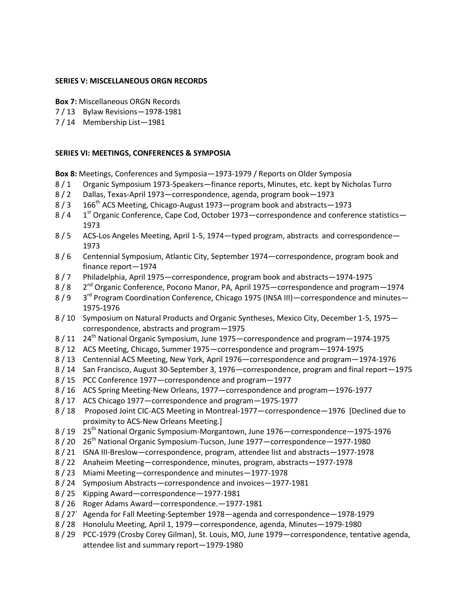#### **SERIES V: MISCELLANEOUS ORGN RECORDS**

- **Box 7:** Miscellaneous ORGN Records
- 7 / 13 Bylaw Revisions—1978-1981
- 7 / 14 Membership List—1981

## **SERIES VI: MEETINGS, CONFERENCES & SYMPOSIA**

- **Box 8:** Meetings, Conferences and Symposia—1973-1979 / Reports on Older Symposia
- 8 / 1 Organic Symposium 1973-Speakers—finance reports, Minutes, etc. kept by Nicholas Turro
- 8 / 2 Dallas, Texas-April 1973—correspondence, agenda, program book—1973
- 8 / 3 166<sup>th</sup> ACS Meeting, Chicago-August 1973—program book and abstracts—1973
- $8/4$  1<sup>st</sup> Organic Conference, Cape Cod, October 1973—correspondence and conference statistics— 1973
- 8 / 5 ACS-Los Angeles Meeting, April 1-5, 1974—typed program, abstracts and correspondence— 1973
- 8 / 6 Centennial Symposium, Atlantic City, September 1974—correspondence, program book and finance report—1974
- 8 / 7 Philadelphia, April 1975—correspondence, program book and abstracts—1974-1975
- 8 / 8 2<sup>nd</sup> Organic Conference, Pocono Manor, PA, April 1975—correspondence and program—1974
- 8 / 9 3<sup>rd</sup> Program Coordination Conference, Chicago 1975 (INSA III) correspondence and minutes 1975-1976
- 8 / 10 Symposium on Natural Products and Organic Syntheses, Mexico City, December 1-5, 1975 correspondence, abstracts and program—1975
- 8 / 11 24th National Organic Symposium, June 1975—correspondence and program—1974-1975
- 8 / 12 ACS Meeting, Chicago, Summer 1975—correspondence and program—1974-1975
- 8 / 13 Centennial ACS Meeting, New York, April 1976—correspondence and program—1974-1976
- 8 / 14 San Francisco, August 30-September 3, 1976—correspondence, program and final report—1975
- 8 / 15 PCC Conference 1977—correspondence and program—1977
- 8 / 16 ACS Spring Meeting-New Orleans, 1977—correspondence and program—1976-1977
- 8 / 17 ACS Chicago 1977—correspondence and program—1975-1977
- 8 / 18 Proposed Joint CIC-ACS Meeting in Montreal-1977—correspondence—1976 [Declined due to proximity to ACS-New Orleans Meeting.]
- 8 / 19 25th National Organic Symposium-Morgantown, June 1976—correspondence—1975-1976
- 8 / 20 26th National Organic Symposium-Tucson, June 1977—correspondence—1977-1980
- 8 / 21 ISNA III-Breslow—correspondence, program, attendee list and abstracts—1977-1978
- 8 / 22 Anaheim Meeting—correspondence, minutes, program, abstracts—1977-1978
- 8 / 23 Miami Meeting—correspondence and minutes—1977-1978
- 8 / 24 Symposium Abstracts—correspondence and invoices—1977-1981
- 8 / 25 Kipping Award—correspondence—1977-1981
- 8 / 26 Roger Adams Award—correspondence.—1977-1981
- 8 / 27` Agenda for Fall Meeting-September 1978—agenda and correspondence—1978-1979
- 8 / 28 Honolulu Meeting, April 1, 1979—correspondence, agenda, Minutes—1979-1980
- 8 / 29 PCC-1979 (Crosby Corey Gilman), St. Louis, MO, June 1979—correspondence, tentative agenda, attendee list and summary report—1979-1980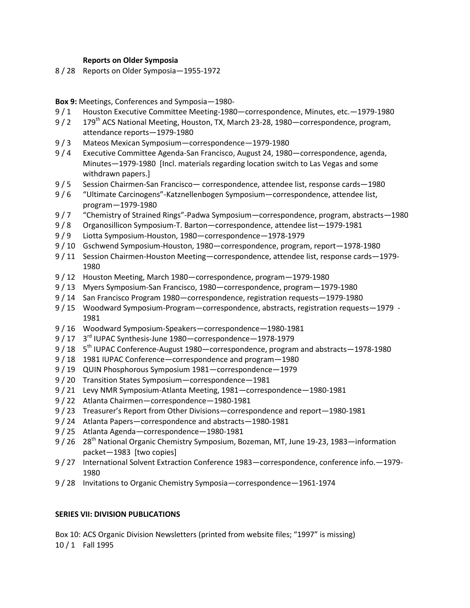#### **Reports on Older Symposia**

8 / 28 Reports on Older Symposia—1955-1972

**Box 9:** Meetings, Conferences and Symposia—1980-

- 9 / 1 Houston Executive Committee Meeting-1980—correspondence, Minutes, etc.—1979-1980
- 9 / 2 179<sup>th</sup> ACS National Meeting, Houston, TX, March 23-28, 1980—correspondence, program, attendance reports—1979-1980
- 9 / 3 Mateos Mexican Symposium—correspondence—1979-1980
- 9 / 4 Executive Committee Agenda-San Francisco, August 24, 1980—correspondence, agenda, Minutes—1979-1980 [Incl. materials regarding location switch to Las Vegas and some withdrawn papers.]
- 9 / 5 Session Chairmen-San Francisco— correspondence, attendee list, response cards—1980
- 9 / 6 "Ultimate Carcinogens"-Katznellenbogen Symposium—correspondence, attendee list, program—1979-1980
- 9 / 7 "Chemistry of Strained Rings"-Padwa Symposium—correspondence, program, abstracts—1980
- 9 / 8 Organosillicon Symposium-T. Barton—correspondence, attendee list—1979-1981
- 9 / 9 Liotta Symposium-Houston, 1980—correspondence—1978-1979
- 9 / 10 Gschwend Symposium-Houston, 1980—correspondence, program, report—1978-1980
- 9 / 11 Session Chairmen-Houston Meeting—correspondence, attendee list, response cards—1979- 1980
- 9 / 12 Houston Meeting, March 1980—correspondence, program—1979-1980
- 9 / 13 Myers Symposium-San Francisco, 1980—correspondence, program—1979-1980
- 9 / 14 San Francisco Program 1980—correspondence, registration requests—1979-1980
- 9 / 15 Woodward Symposium-Program—correspondence, abstracts, registration requests—1979 1981
- 9 / 16 Woodward Symposium-Speakers—correspondence—1980-1981
- 9 / 17 3rd IUPAC Synthesis-June 1980—correspondence—1978-1979
- 9 / 18 5<sup>th</sup> IUPAC Conference-August 1980—correspondence, program and abstracts-1978-1980
- 9 / 18 1981 IUPAC Conference—correspondence and program—1980
- 9 / 19 QUIN Phosphorous Symposium 1981—correspondence—1979
- 9 / 20 Transition States Symposium—correspondence—1981
- 9 / 21 Levy NMR Symposium-Atlanta Meeting, 1981—correspondence—1980-1981
- 9 / 22 Atlanta Chairmen—correspondence—1980-1981
- 9 / 23 Treasurer's Report from Other Divisions—correspondence and report—1980-1981
- 9 / 24 Atlanta Papers—correspondence and abstracts—1980-1981
- 9 / 25 Atlanta Agenda—correspondence—1980-1981
- 9 / 26 28<sup>th</sup> National Organic Chemistry Symposium, Bozeman, MT, June 19-23, 1983—information packet—1983 [two copies]
- 9 / 27 International Solvent Extraction Conference 1983—correspondence, conference info.—1979- 1980
- 9 / 28 Invitations to Organic Chemistry Symposia—correspondence—1961-1974

## **SERIES VII: DIVISION PUBLICATIONS**

Box 10: ACS Organic Division Newsletters (printed from website files; "1997" is missing) 10 / 1 Fall 1995